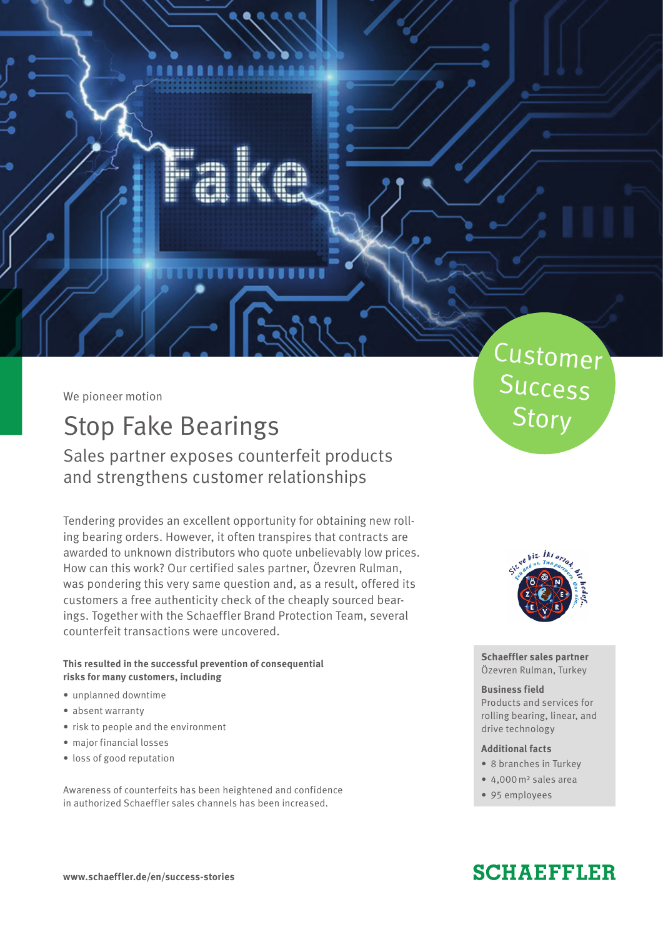We pioneer motion

 $\tau$  /V

 $\mathcal{F}$ 

## Stop Fake Bearings

Sales partner exposes counterfeit products and strengthens customer relationships

Tendering provides an excellent opportunity for obtaining new rolling bearing orders. However, it often transpires that contracts are awarded to unknown distributors who quote unbelievably low prices. How can this work? Our certified sales partner, Özevren Rulman, was pondering this very same question and, as a result, offered its customers a free authenticity check of the cheaply sourced bearings. Together with the Schaeffler Brand Protection Team, several counterfeit transactions were uncovered.

**This resulted in the successful prevention of consequential risks for many customers, including**

- unplanned downtime
- absent warranty
- risk to people and the environment
- major financial losses
- loss of good reputation

Awareness of counterfeits has been heightened and confidence in authorized Schaeffler sales channels has been increased.

# Customer Success **Story**



**Schaeffler sales partner** Özevren Rulman, Turkey

#### **Business field**

Products and services for rolling bearing, linear, and drive technology

#### **Additional facts**

- 8 branches in Turkey
- 4,000m2 sales area
- 95 employees

### **SCHAEFFLER**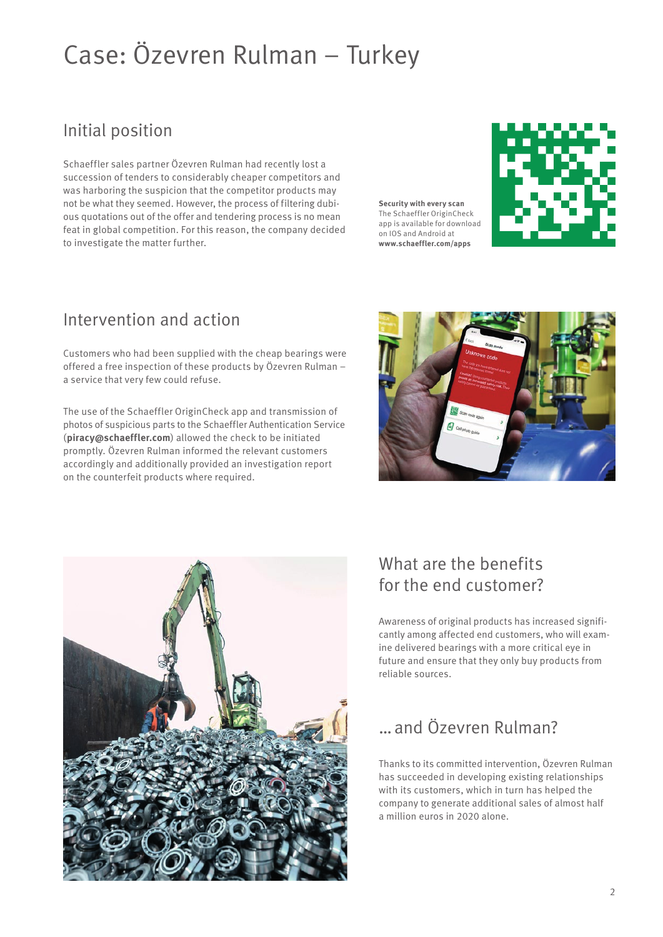# Case: Özevren Rulman – Turkey

#### Initial position

Schaeffler sales partner Özevren Rulman had recently lost a succession of tenders to considerably cheaper competitors and was harboring the suspicion that the competitor products may not be what they seemed. However, the process of filtering dubious quotations out of the offer and tendering process is no mean feat in global competition. For this reason, the company decided to investigate the matter further.

**Security with every scan** The Schaeffler OriginCheck app is available for download on IOS and Android at **www.schaeffler.com/apps**



#### Intervention and action

Customers who had been supplied with the cheap bearings were offered a free inspection of these products by Özevren Rulman – a service that very few could refuse.

The use of the Schaeffler OriginCheck app and transmission of photos of suspicious parts to the Schaeffler Authentication Service (**piracy@schaeffler.com**) allowed the check to be initiated promptly. Özevren Rulman informed the relevant customers accordingly and additionally provided an investigation report on the counterfeit products where required.





### What are the benefits for the end customer?

Awareness of original products has increased significantly among affected end customers, who will examine delivered bearings with a more critical eye in future and ensure that they only buy products from reliable sources.

#### …and Özevren Rulman?

Thanks to its committed intervention, Özevren Rulman has succeeded in developing existing relationships with its customers, which in turn has helped the company to generate additional sales of almost half a million euros in 2020 alone.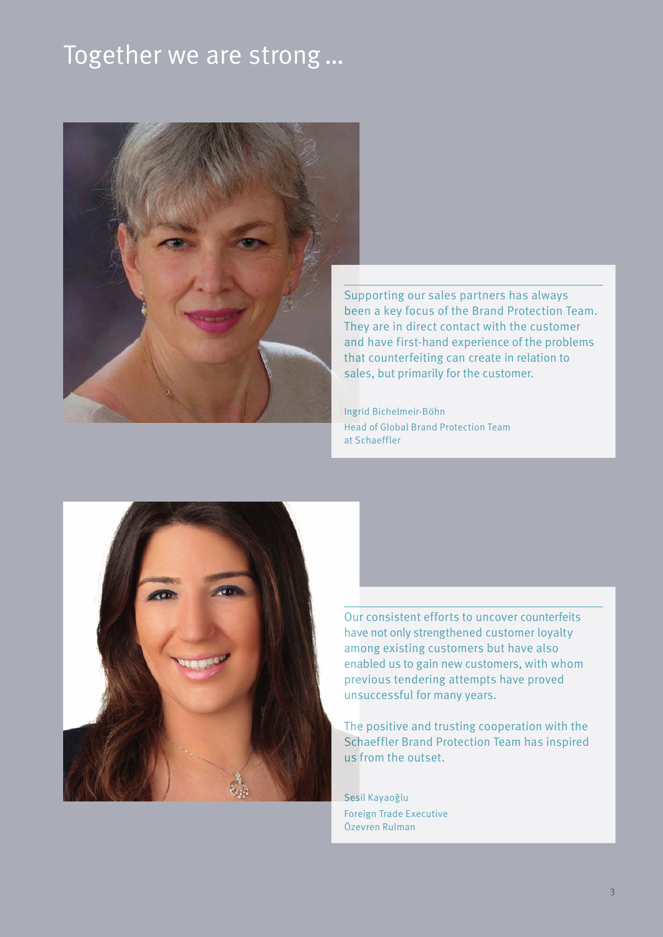## Together we are strong…



Supporting our sales partners has always been a key focus of the Brand Protection Team. They are in direct contact with the customer and have first-hand experience of the problems that counterfeiting can create in relation to sales, but primarily for the customer.

Ingrid Bichelmeir-Böhn Head of Global Brand Protection Team at Schaeffler



Our consistent efforts to uncover counterfeits have not only strengthened customer loyalty among existing customers but have also enabled us to gain new customers, with whom previous tendering attempts have proved unsuccessful for many years.

The positive and trusting cooperation with the Schaeffler Brand Protection Team has inspired us from the outset.

Sesil Kayaoğlu Foreign Trade Executive Özevren Rulman